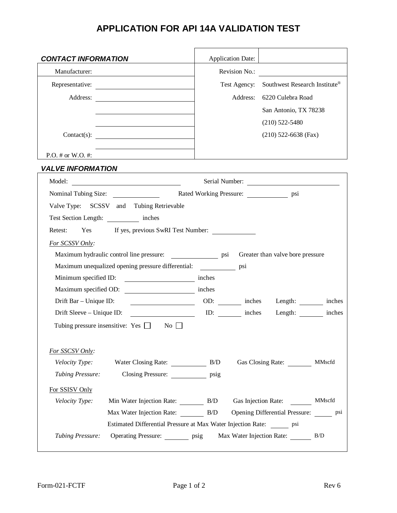## **APPLICATION FOR API 14A VALIDATION TEST**

| <b>CONTACT INFORMATION</b>                                                                                                                                                                                                                                                                                                                                                                                                                               | <b>Application Date:</b>                      |                                                                                                                                                                                                                                |  |  |
|----------------------------------------------------------------------------------------------------------------------------------------------------------------------------------------------------------------------------------------------------------------------------------------------------------------------------------------------------------------------------------------------------------------------------------------------------------|-----------------------------------------------|--------------------------------------------------------------------------------------------------------------------------------------------------------------------------------------------------------------------------------|--|--|
| Manufacturer:                                                                                                                                                                                                                                                                                                                                                                                                                                            | Revision No.:                                 |                                                                                                                                                                                                                                |  |  |
| Representative:                                                                                                                                                                                                                                                                                                                                                                                                                                          | Test Agency:                                  | Southwest Research Institute®                                                                                                                                                                                                  |  |  |
|                                                                                                                                                                                                                                                                                                                                                                                                                                                          |                                               | Address: 6220 Culebra Road                                                                                                                                                                                                     |  |  |
|                                                                                                                                                                                                                                                                                                                                                                                                                                                          |                                               | San Antonio, TX 78238                                                                                                                                                                                                          |  |  |
|                                                                                                                                                                                                                                                                                                                                                                                                                                                          |                                               | $(210)$ 522-5480                                                                                                                                                                                                               |  |  |
|                                                                                                                                                                                                                                                                                                                                                                                                                                                          |                                               | $(210)$ 522-6638 (Fax)                                                                                                                                                                                                         |  |  |
|                                                                                                                                                                                                                                                                                                                                                                                                                                                          |                                               |                                                                                                                                                                                                                                |  |  |
| $P.O. \#$ or W.O. $\#$ :                                                                                                                                                                                                                                                                                                                                                                                                                                 |                                               |                                                                                                                                                                                                                                |  |  |
| <b>VALVE INFORMATION</b>                                                                                                                                                                                                                                                                                                                                                                                                                                 |                                               |                                                                                                                                                                                                                                |  |  |
|                                                                                                                                                                                                                                                                                                                                                                                                                                                          |                                               | Serial Number:                                                                                                                                                                                                                 |  |  |
| Nominal Tubing Size:                                                                                                                                                                                                                                                                                                                                                                                                                                     | Rated Working Pressure: _________________ psi |                                                                                                                                                                                                                                |  |  |
| Valve Type: SCSSV and Tubing Retrievable                                                                                                                                                                                                                                                                                                                                                                                                                 |                                               |                                                                                                                                                                                                                                |  |  |
| Test Section Length: inches                                                                                                                                                                                                                                                                                                                                                                                                                              |                                               |                                                                                                                                                                                                                                |  |  |
| If yes, previous SwRI Test Number:<br>Retest:<br>Yes                                                                                                                                                                                                                                                                                                                                                                                                     |                                               |                                                                                                                                                                                                                                |  |  |
| For SCSSV Only:                                                                                                                                                                                                                                                                                                                                                                                                                                          |                                               |                                                                                                                                                                                                                                |  |  |
| Maximum hydraulic control line pressure: psi                                                                                                                                                                                                                                                                                                                                                                                                             |                                               | Greater than valve bore pressure                                                                                                                                                                                               |  |  |
| Maximum unequalized opening pressure differential: psi                                                                                                                                                                                                                                                                                                                                                                                                   |                                               |                                                                                                                                                                                                                                |  |  |
| Minimum specified ID:<br>$\frac{1}{\sqrt{1-\frac{1}{2}}}\frac{1}{\sqrt{1-\frac{1}{2}}}\frac{1}{\sqrt{1-\frac{1}{2}}}\frac{1}{\sqrt{1-\frac{1}{2}}}\frac{1}{\sqrt{1-\frac{1}{2}}}\frac{1}{\sqrt{1-\frac{1}{2}}}\frac{1}{\sqrt{1-\frac{1}{2}}}\frac{1}{\sqrt{1-\frac{1}{2}}}\frac{1}{\sqrt{1-\frac{1}{2}}}\frac{1}{\sqrt{1-\frac{1}{2}}}\frac{1}{\sqrt{1-\frac{1}{2}}}\frac{1}{\sqrt{1-\frac{1}{2}}}\frac{1}{\sqrt{1-\frac{1}{2}}}\frac{1}{\sqrt{1-\frac{$ |                                               |                                                                                                                                                                                                                                |  |  |
| Maximum specified OD:                                                                                                                                                                                                                                                                                                                                                                                                                                    | inches                                        |                                                                                                                                                                                                                                |  |  |
| Drift Bar - Unique ID:                                                                                                                                                                                                                                                                                                                                                                                                                                   |                                               | DD: 11 contract on the contract of the contract of the contract of the contract of the contract of the contract of the contract of the contract of the contract of the contract of the contract of the contract of the contrac |  |  |
| Drift Sleeve – Unique ID: ID: ID: inches                                                                                                                                                                                                                                                                                                                                                                                                                 |                                               | Length: ________ inches                                                                                                                                                                                                        |  |  |
| Tubing pressure insensitive: Yes $\Box$ No $\Box$                                                                                                                                                                                                                                                                                                                                                                                                        |                                               |                                                                                                                                                                                                                                |  |  |
| For SSCSV Only:                                                                                                                                                                                                                                                                                                                                                                                                                                          |                                               |                                                                                                                                                                                                                                |  |  |
| Velocity Type:<br>Water Closing Rate: B/D                                                                                                                                                                                                                                                                                                                                                                                                                |                                               | Gas Closing Rate:<br>MMscfd                                                                                                                                                                                                    |  |  |
| Closing Pressure: psig<br>Tubing Pressure:                                                                                                                                                                                                                                                                                                                                                                                                               |                                               |                                                                                                                                                                                                                                |  |  |
| For SSISV Only                                                                                                                                                                                                                                                                                                                                                                                                                                           |                                               |                                                                                                                                                                                                                                |  |  |
| Min Water Injection Rate: B/D<br>Velocity Type:                                                                                                                                                                                                                                                                                                                                                                                                          |                                               | Gas Injection Rate:<br>MMscfd                                                                                                                                                                                                  |  |  |
| Max Water Injection Rate: B/D                                                                                                                                                                                                                                                                                                                                                                                                                            |                                               | Opening Differential Pressure: psi                                                                                                                                                                                             |  |  |
| Estimated Differential Pressure at Max Water Injection Rate: psi                                                                                                                                                                                                                                                                                                                                                                                         |                                               |                                                                                                                                                                                                                                |  |  |
| <b>Tubing Pressure:</b><br>Operating Pressure: ________ psig                                                                                                                                                                                                                                                                                                                                                                                             |                                               | Max Water Injection Rate:<br>B/D                                                                                                                                                                                               |  |  |